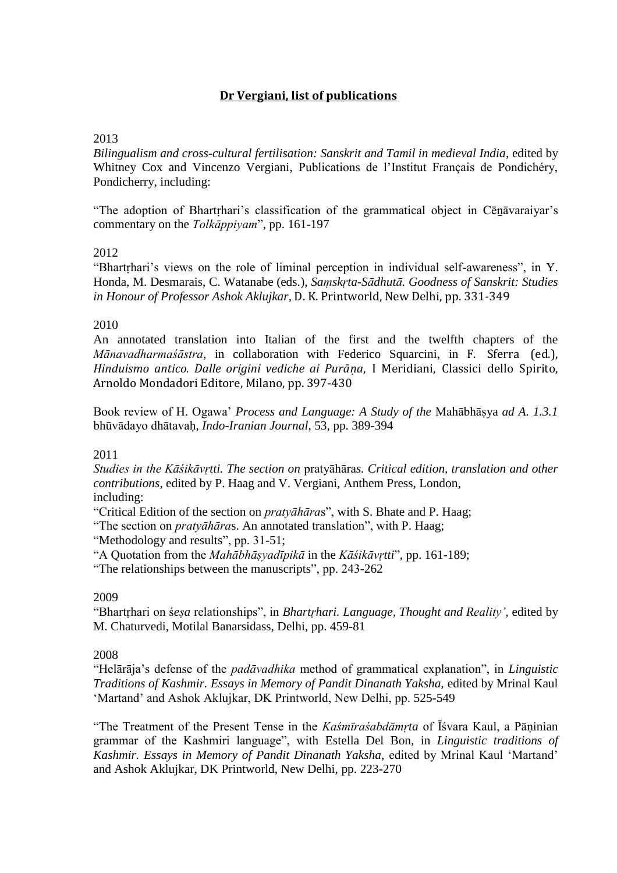# **Dr Vergiani, list of publications**

# 2013

*Bilingualism and cross-cultural fertilisation: Sanskrit and Tamil in medieval India*, edited by Whitney Cox and Vincenzo Vergiani, Publications de l'Institut Français de Pondichéry, Pondicherry, including:

"The adoption of Bhartṛhari's classification of the grammatical object in Cēṉāvaraiyar's commentary on the *Tolkāppiyam*", pp. 161-197

## 2012

"Bhartrhari's views on the role of liminal perception in individual self-awareness", in Y. Honda, M. Desmarais, C. Watanabe (eds.), *Saṃskṛta-Sādhutā. Goodness of Sanskrit: Studies in Honour of Professor Ashok Aklujkar*, D. K. Printworld, New Delhi, pp. 331-349

## 2010

An annotated translation into Italian of the first and the twelfth chapters of the *Mānavadharmaśāstra*, in collaboration with Federico Squarcini, in F. Sferra (ed.), *Hinduismo antico. Dalle origini vediche ai Purāṇa*, I Meridiani, Classici dello Spirito, Arnoldo Mondadori Editore, Milano, pp. 397-430

Book review of H. Ogawa' *Process and Language: A Study of the* Mahābhāṣya *ad A. 1.3.1* bhūvādayo dhātavaḥ, *Indo-Iranian Journal*, 53, pp. 389-394

#### 2011

*Studies in the Kāśikāvṛtti. The section on* pratyāhāra*s. Critical edition, translation and other contributions*, edited by P. Haag and V. Vergiani, Anthem Press, London, including:

"Critical Edition of the section on *pratyāhāra*s", with S. Bhate and P. Haag;

"The section on *pratyāhāra*s. An annotated translation", with P. Haag;

"Methodology and results", pp. 31-51;

"A Quotation from the *Mahābhāṣyadīpikā* in the *Kāśikāvṛtti*", pp. 161-189;

"The relationships between the manuscripts", pp. 243-262

#### 2009

"Bhartṛhari on ś*eṣa* relationships", in *Bhartṛhari. Language, Thought and Reality'*, edited by M. Chaturvedi, Motilal Banarsidass, Delhi, pp. 459-81

## 2008

"Helārāja's defense of the *padāvadhika* method of grammatical explanation", in *Linguistic Traditions of Kashmir. Essays in Memory of Pandit Dinanath Yaksha,* edited by Mrinal Kaul 'Martand' and Ashok Aklujkar, DK Printworld, New Delhi, pp. 525-549

"The Treatment of the Present Tense in the *Kaśmīraśabdāmṛta* of Īśvara Kaul, a Pāṇinian grammar of the Kashmiri language", with Estella Del Bon, in *Linguistic traditions of Kashmir. Essays in Memory of Pandit Dinanath Yaksha,* edited by Mrinal Kaul 'Martand' and Ashok Aklujkar, DK Printworld, New Delhi, pp. 223-270